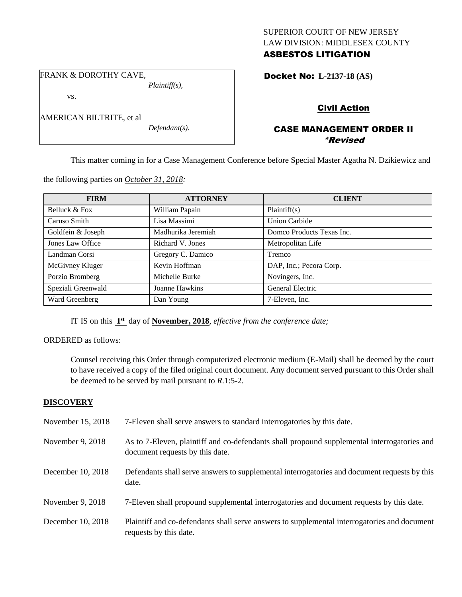## SUPERIOR COURT OF NEW JERSEY LAW DIVISION: MIDDLESEX COUNTY ASBESTOS LITIGATION

FRANK & DOROTHY CAVE,

*Plaintiff(s),*

vs.

*Defendant(s).*

Docket No: **L-2137-18 (AS)** 

# Civil Action

# CASE MANAGEMENT ORDER II \*Revised

This matter coming in for a Case Management Conference before Special Master Agatha N. Dzikiewicz and

| <b>FIRM</b>        | <b>ATTORNEY</b>    | <b>CLIENT</b>             |
|--------------------|--------------------|---------------------------|
| Belluck & Fox      | William Papain     | Plaintiff(s)              |
| Caruso Smith       | Lisa Massimi       | <b>Union Carbide</b>      |
| Goldfein & Joseph  | Madhurika Jeremiah | Domco Products Texas Inc. |
| Jones Law Office   | Richard V. Jones   | Metropolitan Life         |
| Landman Corsi      | Gregory C. Damico  | Tremco                    |
| McGivney Kluger    | Kevin Hoffman      | DAP, Inc.; Pecora Corp.   |
| Porzio Bromberg    | Michelle Burke     | Novingers, Inc.           |
| Speziali Greenwald | Joanne Hawkins     | General Electric          |
| Ward Greenberg     | Dan Young          | 7-Eleven, Inc.            |

the following parties on *October 31, 2018:*

IT IS on this  $1<sup>st</sup>$  day of **November, 2018**, *effective from the conference date*;

ORDERED as follows:

Counsel receiving this Order through computerized electronic medium (E-Mail) shall be deemed by the court to have received a copy of the filed original court document. Any document served pursuant to this Order shall be deemed to be served by mail pursuant to *R*.1:5-2.

## **DISCOVERY**

| November 15, 2018 | 7-Eleven shall serve answers to standard interrogatories by this date.                                                         |
|-------------------|--------------------------------------------------------------------------------------------------------------------------------|
| November 9, 2018  | As to 7-Eleven, plaintiff and co-defendants shall propound supplemental interrogatories and<br>document requests by this date. |
| December 10, 2018 | Defendants shall serve answers to supplemental interrogatories and document requests by this<br>date.                          |
| November 9, 2018  | 7-Eleven shall propound supplemental interrogatories and document requests by this date.                                       |
| December 10, 2018 | Plaintiff and co-defendants shall serve answers to supplemental interrogatories and document<br>requests by this date.         |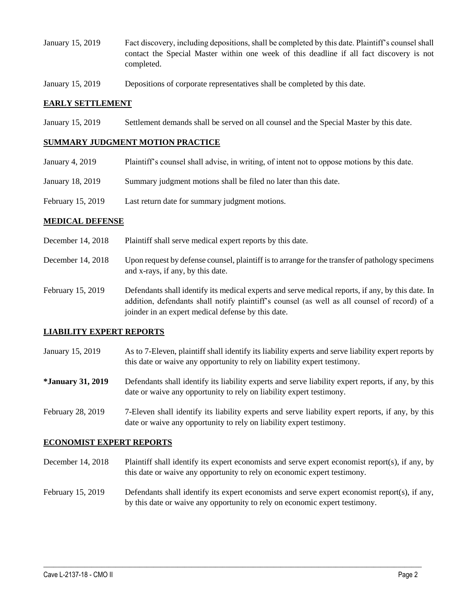- January 15, 2019 Fact discovery, including depositions, shall be completed by this date. Plaintiff's counsel shall contact the Special Master within one week of this deadline if all fact discovery is not completed.
- January 15, 2019 Depositions of corporate representatives shall be completed by this date.

### **EARLY SETTLEMENT**

January 15, 2019 Settlement demands shall be served on all counsel and the Special Master by this date.

### **SUMMARY JUDGMENT MOTION PRACTICE**

- January 4, 2019 Plaintiff's counsel shall advise, in writing, of intent not to oppose motions by this date.
- January 18, 2019 Summary judgment motions shall be filed no later than this date.
- February 15, 2019 Last return date for summary judgment motions.

### **MEDICAL DEFENSE**

- December 14, 2018 Plaintiff shall serve medical expert reports by this date.
- December 14, 2018 Upon request by defense counsel, plaintiff is to arrange for the transfer of pathology specimens and x-rays, if any, by this date.
- February 15, 2019 Defendants shall identify its medical experts and serve medical reports, if any, by this date. In addition, defendants shall notify plaintiff's counsel (as well as all counsel of record) of a joinder in an expert medical defense by this date.

## **LIABILITY EXPERT REPORTS**

- January 15, 2019 As to 7-Eleven, plaintiff shall identify its liability experts and serve liability expert reports by this date or waive any opportunity to rely on liability expert testimony.
- **\*January 31, 2019** Defendants shall identify its liability experts and serve liability expert reports, if any, by this date or waive any opportunity to rely on liability expert testimony.
- February 28, 2019 7-Eleven shall identify its liability experts and serve liability expert reports, if any, by this date or waive any opportunity to rely on liability expert testimony.

#### **ECONOMIST EXPERT REPORTS**

- December 14, 2018 Plaintiff shall identify its expert economists and serve expert economist report(s), if any, by this date or waive any opportunity to rely on economic expert testimony.
- February 15, 2019 Defendants shall identify its expert economists and serve expert economist report(s), if any, by this date or waive any opportunity to rely on economic expert testimony.

 $\_$  ,  $\_$  ,  $\_$  ,  $\_$  ,  $\_$  ,  $\_$  ,  $\_$  ,  $\_$  ,  $\_$  ,  $\_$  ,  $\_$  ,  $\_$  ,  $\_$  ,  $\_$  ,  $\_$  ,  $\_$  ,  $\_$  ,  $\_$  ,  $\_$  ,  $\_$  ,  $\_$  ,  $\_$  ,  $\_$  ,  $\_$  ,  $\_$  ,  $\_$  ,  $\_$  ,  $\_$  ,  $\_$  ,  $\_$  ,  $\_$  ,  $\_$  ,  $\_$  ,  $\_$  ,  $\_$  ,  $\_$  ,  $\_$  ,